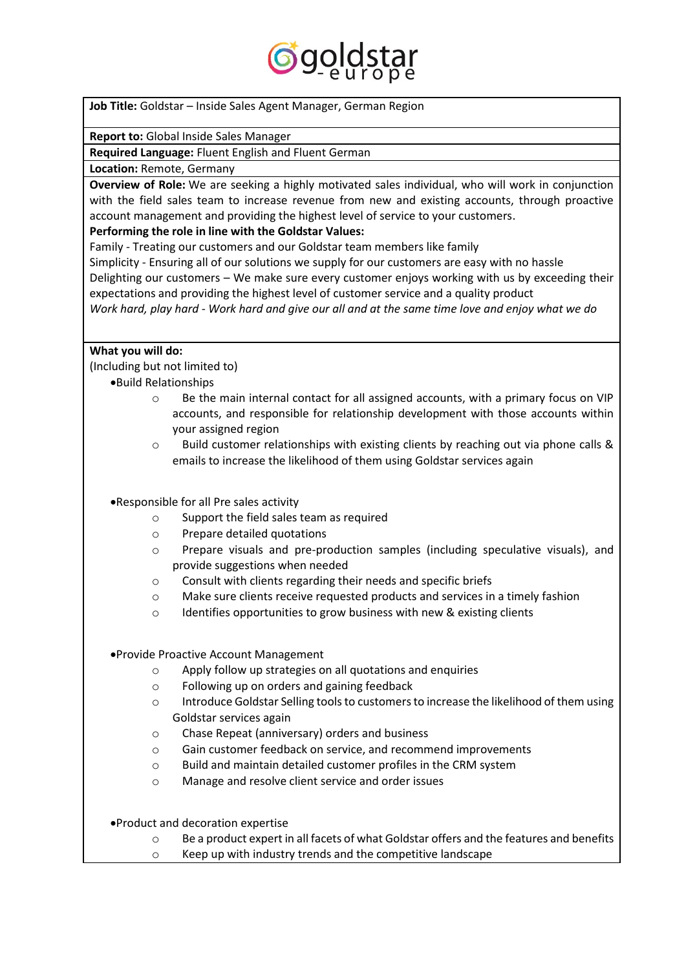

**Job Title:** Goldstar – Inside Sales Agent Manager, German Region

**Report to:** Global Inside Sales Manager

**Required Language:** Fluent English and Fluent German

**Location:** Remote, Germany

**Overview of Role:** We are seeking a highly motivated sales individual, who will work in conjunction with the field sales team to increase revenue from new and existing accounts, through proactive account management and providing the highest level of service to your customers.

## **Performing the role in line with the Goldstar Values:**

Family - Treating our customers and our Goldstar team members like family

Simplicity - Ensuring all of our solutions we supply for our customers are easy with no hassle

Delighting our customers – We make sure every customer enjoys working with us by exceeding their expectations and providing the highest level of customer service and a quality product

*Work hard, play hard - Work hard and give our all and at the same time love and enjoy what we do*

### **What you will do:**

(Including but not limited to)

- •Build Relationships
	- $\circ$  Be the main internal contact for all assigned accounts, with a primary focus on VIP accounts, and responsible for relationship development with those accounts within your assigned region
	- o Build customer relationships with existing clients by reaching out via phone calls & emails to increase the likelihood of them using Goldstar services again

•Responsible for all Pre sales activity

- o Support the field sales team as required
- o Prepare detailed quotations
- o Prepare visuals and pre-production samples (including speculative visuals), and provide suggestions when needed
- o Consult with clients regarding their needs and specific briefs
- o Make sure clients receive requested products and services in a timely fashion
- o Identifies opportunities to grow business with new & existing clients

•Provide Proactive Account Management

- o Apply follow up strategies on all quotations and enquiries
- o Following up on orders and gaining feedback
- o Introduce Goldstar Selling tools to customers to increase the likelihood of them using Goldstar services again
- o Chase Repeat (anniversary) orders and business
- o Gain customer feedback on service, and recommend improvements
- $\circ$  Build and maintain detailed customer profiles in the CRM system
- o Manage and resolve client service and order issues

•Product and decoration expertise

- $\circ$  Be a product expert in all facets of what Goldstar offers and the features and benefits
- o Keep up with industry trends and the competitive landscape